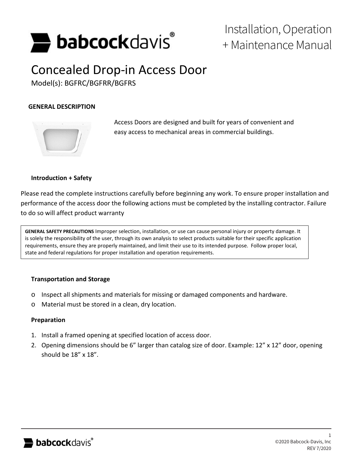

## Installation, Operation + Maintenance Manual

# Concealed Drop-in Access Door

Model(s): BGFRC/BGFRR/BGFRS

### **GENERAL DESCRIPTION**



Access Doors are designed and built for years of convenient and easy access to mechanical areas in commercial buildings.

#### **Introduction + Safety**

Please read the complete instructions carefully before beginning any work. To ensure proper installation and performance of the access door the following actions must be completed by the installing contractor. Failure to do so will affect product warranty

**GENERAL SAFETY PRECAUTIONS** Improper selection, installation, or use can cause personal injury or property damage. It is solely the responsibility of the user, through its own analysis to select products suitable for their specific application requirements, ensure they are properly maintained, and limit their use to its intended purpose. Follow proper local, state and federal regulations for proper installation and operation requirements.

#### **Transportation and Storage**

- o Inspect all shipments and materials for missing or damaged components and hardware.
- o Material must be stored in a clean, dry location.

#### **Preparation**

- 1. Install a framed opening at specified location of access door.
- 2. Opening dimensions should be 6" larger than catalog size of door. Example: 12" x 12" door, opening should be 18" x 18".